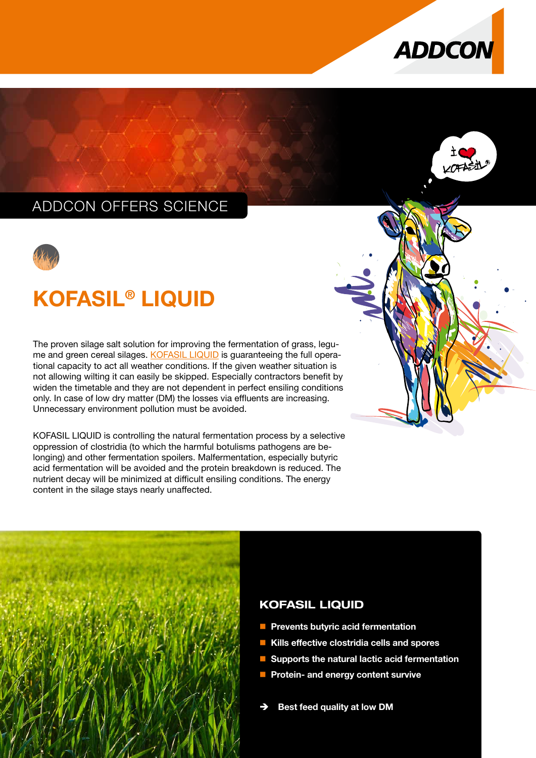



## ADDCON OFFERS SCIENCE



# KOFASIL® LIQUID

The proven silage salt solution for improving the fermentation of grass, legu-me and green cereal silages. [KOFASIL LIQUID](https://www.addcon.com/index.php/en/feed/silage-additives/kofasil-liquid) is guaranteeing the full operational capacity to act all weather conditions. If the given weather situation is not allowing wilting it can easily be skipped. Especially contractors benefit by widen the timetable and they are not dependent in perfect ensiling conditions only. In case of low dry matter (DM) the losses via effluents are increasing. Unnecessary environment pollution must be avoided.

KOFASIL LIQUID is controlling the natural fermentation process by a selective oppression of clostridia (to which the harmful botulisms pathogens are belonging) and other fermentation spoilers. Malfermentation, especially butyric acid fermentation will be avoided and the protein breakdown is reduced. The nutrient decay will be minimized at difficult ensiling conditions. The energy content in the silage stays nearly unaffected.



### KOFASIL LIQUID

- **Prevents butyric acid fermentation**
- Kills effective clostridia cells and spores
- Supports the natural lactic acid fermentation
- **Protein- and energy content survive**
- Best feed quality at low DM